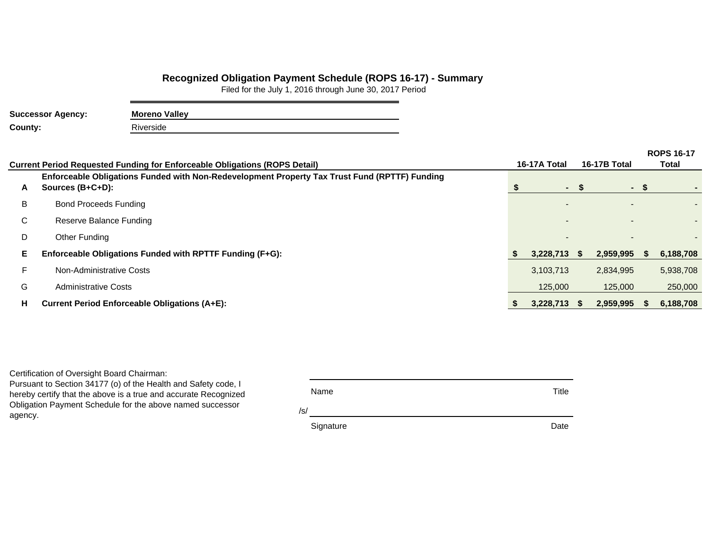## **Recognized Obligation Payment Schedule (ROPS 16-17) - Summary**

Filed for the July 1, 2016 through June 30, 2017 Period

| <b>Successor Agency:</b> | <b>Moreno Valley</b> |  |  |  |  |  |
|--------------------------|----------------------|--|--|--|--|--|
| County:                  | Riverside            |  |  |  |  |  |

|    | Current Period Requested Funding for Enforceable Obligations (ROPS Detail)                                        | 16-17A Total   | <b>16-17B Total</b> | <b>ROPS 16-17</b><br>Total |           |  |
|----|-------------------------------------------------------------------------------------------------------------------|----------------|---------------------|----------------------------|-----------|--|
| A  | Enforceable Obligations Funded with Non-Redevelopment Property Tax Trust Fund (RPTTF) Funding<br>Sources (B+C+D): | $\sim$         | ۰.                  |                            |           |  |
| B  | <b>Bond Proceeds Funding</b>                                                                                      |                |                     |                            |           |  |
| C  | Reserve Balance Funding                                                                                           |                |                     |                            |           |  |
| D  | Other Funding                                                                                                     |                |                     |                            |           |  |
| Е  | Enforceable Obligations Funded with RPTTF Funding (F+G):                                                          | 3,228,713 \$   | 2,959,995           |                            | 6,188,708 |  |
|    | Non-Administrative Costs                                                                                          | 3,103,713      | 2,834,995           |                            | 5,938,708 |  |
| G  | <b>Administrative Costs</b>                                                                                       | 125,000        | 125,000             |                            | 250,000   |  |
| H. | <b>Current Period Enforceable Obligations (A+E):</b>                                                              | $3,228,713$ \$ | 2,959,995           |                            | 6,188,708 |  |

Certification of Oversight Board Chairman:

Pursuant to Section 34177 (o) of the Health and Safety code, I hereby certify that the above is a true and accurate Recognized Obligation Payment Schedule for the above named successor agency.

| Name      | Title |
|-----------|-------|
| /s/       |       |
| Signature | Date  |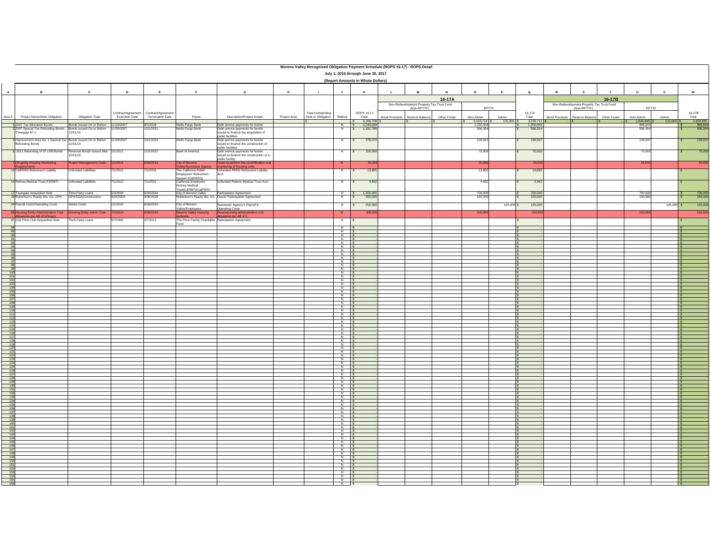|              | Moreno Valley Recognized Obligation Payment Schedule (ROPS 16-17) - ROPS Detail<br>July 1, 2016 through June 30, 2017<br>(Report Amounts in Whole Dollars) |                                                 |                       |                         |                                                                  |                                                                                             |              |                          |                                                                                                 |                                  |                                                          |             |                                     |                  |                       |                      |                                                          |              |                                   |                      |                          |
|--------------|------------------------------------------------------------------------------------------------------------------------------------------------------------|-------------------------------------------------|-----------------------|-------------------------|------------------------------------------------------------------|---------------------------------------------------------------------------------------------|--------------|--------------------------|-------------------------------------------------------------------------------------------------|----------------------------------|----------------------------------------------------------|-------------|-------------------------------------|------------------|-----------------------|----------------------|----------------------------------------------------------|--------------|-----------------------------------|----------------------|--------------------------|
|              |                                                                                                                                                            |                                                 |                       |                         |                                                                  |                                                                                             |              |                          |                                                                                                 |                                  |                                                          |             |                                     |                  |                       |                      |                                                          |              |                                   |                      |                          |
| $\mathbf{A}$ | $\mathbf{B}$                                                                                                                                               | $\mathbf{c}$                                    | D                     | E                       | F                                                                | G                                                                                           | H            | $\mathbf{I}$             | $\mathbf{J}$                                                                                    |                                  | $\mathbf{M}$<br>$\mathbf{L}$                             | N           | $\circ$                             | <b>P</b>         | $\mathbf Q$           | P                    | <b>s</b>                                                 | $\mathbf{r}$ | $\mathbf{u}$                      | $\mathbf{v}$         | $\mathbf w$              |
|              |                                                                                                                                                            |                                                 |                       |                         |                                                                  |                                                                                             |              |                          |                                                                                                 |                                  |                                                          | 16-17A      |                                     |                  |                       |                      |                                                          | 16-17B       |                                   |                      |                          |
|              |                                                                                                                                                            |                                                 | Contract/Agreement    | Contract/Agreement      |                                                                  |                                                                                             |              | <b>Total Outstanding</b> |                                                                                                 | ROPS 16-17                       | Non-Redevelopment Property Tax Trust Fund<br>(Non-RPTTF) |             | RPTTF                               |                  | 16-17A                |                      | Non-Redevelopment Property Tax Trust Fund<br>(Non-RPTTF) |              | RPTTF                             |                      | 16-17B                   |
| Item #       | Project Name/Debt Obligation                                                                                                                               | Obligation Type                                 | <b>Execution Date</b> | <b>Termination Date</b> | Payee                                                            | Description/Project Scope                                                                   | Project Area | Debt or Obligation       | Retired                                                                                         | Total<br>6,188,708 \$            | <b>Bond Proceeds</b><br>Reserve Balance                  | Other Funds | Non-Admin                           | Admin<br>125,000 | Total<br>3,228,713 \$ | <b>Bond Proceeds</b> | Reserve Balance                                          | Other Funds  | Non-Admin                         | Admin<br>$125.000$ S | Total<br>2,959,995       |
|              | 1 2007 Tax Allocation Bonds<br>2 2007 Special Tax Refunding Bonds - Bonds Issued On or Before                                                              | Bonds Issued On or Before 11/29/2007            | 11/29/2007            | 8/1/2038<br>12/1/2021   | Wells Fargo Bank<br>Wells Fargo Bank                             | Debt service payments for bonds<br>Debt service payments for bonds                          |              |                          | N                                                                                               | 2.249.609<br>1,192,708<br>$\sim$ |                                                          |             | 3,103,713 \$<br>1.250.004<br>596,35 |                  | 1.250.004<br>596,354  |                      |                                                          |              | 2,834,995 \$<br>999,604<br>596,35 |                      | 999,604<br>596,354       |
|              | Towngate 87-1                                                                                                                                              | 12/31/10                                        |                       |                         |                                                                  | ssued to finance the acquisition of<br>oublic facilities                                    |              |                          |                                                                                                 |                                  |                                                          |             |                                     |                  |                       |                      |                                                          |              |                                   |                      |                          |
|              | 3 Improvement Area No. 1 Special Tax Bonds Issued On or Before<br>Refunding Bonds                                                                          | 12/31/10                                        | 11/29/2007            | 10/1/2023               | Wells Fargo Bank                                                 | Debt service payments for bonds<br>ssued to finance the construction of<br>ublic facilities |              |                          | N                                                                                               | 278,074<br>l s                   |                                                          |             | 139,037                             |                  | 139,037               |                      |                                                          |              | 139,037                           |                      | 139,037<br><b>S</b>      |
|              | 5 2011 Refunding of 97 LRB Bonds                                                                                                                           | Revenue Bonds Issued After 1/1/2011<br>12/31/10 |                       | 11/1/2022               | Bank of America                                                  | Debt service payments for bonds<br>ssued to finance the construction of a                   |              |                          | N                                                                                               | 150,000                          |                                                          |             | 75,000                              |                  | 75,000                |                      |                                                          |              | 75,000                            |                      | 75,000                   |
|              | 7 On-going Housing Monitoring                                                                                                                              | roject Management Costs                         | 1/2014                | V30/2014                | <b>City of Moreno</b>                                            | ublic facility<br>Costs to perform the recertification and                                  |              |                          | N                                                                                               | 50,000                           |                                                          |             | 25,000                              |                  | 25,000                |                      |                                                          |              | 25,000                            |                      | 25,000                   |
|              | 13 CalPERS Retirement Liability                                                                                                                            | I Infunded Liabilities                          | 11/2012               | 7/1/2031                | The California Public                                            | nitoring of housing units<br>Unfunded PERS Retirement Liability                             |              |                          | N                                                                                               | 13,855<br>$\sim$                 |                                                          |             | 13,855                              |                  | 13,855                |                      |                                                          |              |                                   |                      |                          |
|              | 14 Retiree Medical Trust (CERBT)                                                                                                                           | Unfunded Liabilities                            | 1/2012                | 7/1/2031                | Employees' Retirement<br>System (CalPERS)                        | Acct<br>Unfunded Retiree Medical Trust Acct                                                 |              |                          | N                                                                                               | 4.462<br>$\epsilon$              |                                                          |             | 4.462                               |                  | 4.462                 |                      |                                                          |              |                                   |                      |                          |
|              |                                                                                                                                                            |                                                 |                       |                         | California Employers'<br>Retiree Medical<br>Frust(CERBT)/CalPERS |                                                                                             |              |                          |                                                                                                 |                                  |                                                          |             |                                     |                  |                       |                      |                                                          |              |                                   |                      |                          |
|              | 17 Towngate Acquisition Note<br>19 Robertson's Ready Mix, Inc. OPA                                                                                         | Third-Party Loans<br>OPA/DDA/Construction       | 5/3/2004<br>9/26/2006 | 6/30/2044<br>9/30/2028  |                                                                  | City of Moreno Valley<br>Robertson's Ready Mix, Inc. Owner Participation Agreement          |              |                          | $N$ s                                                                                           | 1,400,000<br>300,000             |                                                          |             | 700,000<br>150,000                  |                  | 700,000<br>150,000    |                      |                                                          |              | 700,000<br>150,000                |                      | 700,000<br>150,000<br>s. |
|              | 24 Payroll Costs/Operating Costs                                                                                                                           | <b>Admin Costs</b>                              | /1/2015               | 6/30/2015               | City of Moreno                                                   | Successor Agency's Payroll &                                                                |              |                          | N                                                                                               | 250,000<br>$\sim$                |                                                          |             |                                     | 125,000 \$       | 125,000               |                      |                                                          |              |                                   | 125,000 \$           | 125,000                  |
|              |                                                                                                                                                            | ousing Entity Admin Cost                        | 1/2014                | /30/2018                | allev/Employees<br>reno Valley Housing                           | Operating Costs<br>Housing entity administrative cost                                       |              |                          | $\overline{N}$                                                                                  | 300,000                          |                                                          |             | 150,00                              |                  | 150,00                |                      |                                                          |              | 150,00                            |                      | 150,000                  |
|              | 86 Housing Entity Administrative Cost<br>Allowance per AB 471 Project<br>87 (16) Price Club Acquisition Note                                               | hird-Party Loans                                | 77/1992               | 5/7/2015                | thority                                                          | owance per AB 471<br>he Price Family Charitable Participation Agreement                     |              |                          | N                                                                                               |                                  |                                                          |             |                                     |                  |                       |                      |                                                          |              |                                   |                      |                          |
| 88           |                                                                                                                                                            |                                                 |                       |                         |                                                                  |                                                                                             |              |                          | $\overline{N}$                                                                                  |                                  |                                                          |             |                                     |                  |                       |                      |                                                          |              |                                   |                      |                          |
|              |                                                                                                                                                            |                                                 |                       |                         |                                                                  |                                                                                             |              |                          | $\begin{array}{c c}\nN \\ N \\ N\n\end{array}$                                                  |                                  |                                                          |             |                                     |                  |                       |                      |                                                          |              |                                   |                      |                          |
|              |                                                                                                                                                            |                                                 |                       |                         |                                                                  |                                                                                             |              |                          | $\overline{N}$                                                                                  |                                  |                                                          |             |                                     |                  |                       |                      |                                                          |              |                                   |                      |                          |
|              |                                                                                                                                                            |                                                 |                       |                         |                                                                  |                                                                                             |              |                          | N                                                                                               |                                  |                                                          |             |                                     |                  |                       |                      |                                                          |              |                                   |                      |                          |
|              |                                                                                                                                                            |                                                 |                       |                         |                                                                  |                                                                                             |              |                          | $\begin{array}{c c}\nN \\ \hline\nN \\ \hline\nN \\ \hline\n\end{array}$                        |                                  |                                                          |             |                                     |                  |                       |                      |                                                          |              |                                   |                      |                          |
|              |                                                                                                                                                            |                                                 |                       |                         |                                                                  |                                                                                             |              |                          | $\overline{N}$                                                                                  |                                  |                                                          |             |                                     |                  |                       |                      |                                                          |              |                                   |                      |                          |
|              |                                                                                                                                                            |                                                 |                       |                         |                                                                  |                                                                                             |              |                          | $\frac{N}{N}$                                                                                   |                                  |                                                          |             |                                     |                  |                       |                      |                                                          |              |                                   |                      |                          |
|              |                                                                                                                                                            |                                                 |                       |                         |                                                                  |                                                                                             |              |                          | $\begin{array}{c c}\nN & \vdots \\ N & \vdots\n\end{array}$                                     |                                  |                                                          |             |                                     |                  |                       |                      |                                                          |              |                                   |                      |                          |
|              |                                                                                                                                                            |                                                 |                       |                         |                                                                  |                                                                                             |              |                          | N<br>$\frac{N}{N}$                                                                              |                                  |                                                          |             |                                     |                  |                       |                      |                                                          |              |                                   |                      |                          |
|              |                                                                                                                                                            |                                                 |                       |                         |                                                                  |                                                                                             |              |                          | $\frac{N}{N}$                                                                                   |                                  |                                                          |             |                                     |                  |                       |                      |                                                          |              |                                   |                      |                          |
|              |                                                                                                                                                            |                                                 |                       |                         |                                                                  |                                                                                             |              |                          | N                                                                                               |                                  |                                                          |             |                                     |                  |                       |                      |                                                          |              |                                   |                      |                          |
|              |                                                                                                                                                            |                                                 |                       |                         |                                                                  |                                                                                             |              |                          | $\begin{array}{c c}\nN & S \\ \hline\nN & S\n\end{array}$                                       |                                  |                                                          |             |                                     |                  |                       |                      |                                                          |              |                                   |                      |                          |
|              |                                                                                                                                                            |                                                 |                       |                         |                                                                  |                                                                                             |              |                          | $\overline{z}$                                                                                  |                                  |                                                          |             |                                     |                  |                       |                      |                                                          |              |                                   |                      |                          |
|              |                                                                                                                                                            |                                                 |                       |                         |                                                                  |                                                                                             |              |                          | $\overline{N}$<br>N                                                                             |                                  |                                                          |             |                                     |                  |                       |                      |                                                          |              |                                   |                      |                          |
|              |                                                                                                                                                            |                                                 |                       |                         |                                                                  |                                                                                             |              |                          | $\frac{N}{N}$                                                                                   |                                  |                                                          |             |                                     |                  |                       |                      |                                                          |              |                                   |                      |                          |
|              |                                                                                                                                                            |                                                 |                       |                         |                                                                  |                                                                                             |              |                          | $\frac{N}{N}$                                                                                   |                                  |                                                          |             |                                     |                  |                       |                      |                                                          |              |                                   |                      |                          |
|              |                                                                                                                                                            |                                                 |                       |                         |                                                                  |                                                                                             |              |                          | $\begin{array}{c} N \\ N \end{array}$                                                           |                                  |                                                          |             |                                     |                  |                       |                      |                                                          |              |                                   |                      |                          |
|              |                                                                                                                                                            |                                                 |                       |                         |                                                                  |                                                                                             |              |                          | $\begin{array}{c}\nN \\ N \\ N\n\end{array}$                                                    |                                  |                                                          |             |                                     |                  |                       |                      |                                                          |              |                                   |                      |                          |
|              |                                                                                                                                                            |                                                 |                       |                         |                                                                  |                                                                                             |              |                          |                                                                                                 |                                  |                                                          |             |                                     |                  |                       |                      |                                                          |              |                                   |                      |                          |
|              |                                                                                                                                                            |                                                 |                       |                         |                                                                  |                                                                                             |              |                          | $\begin{array}{c}\n\mathbf{y} \\ \mathbf{y} \\ \mathbf{y} \\ \vdots \\ \mathbf{y}\n\end{array}$ |                                  |                                                          |             |                                     |                  |                       |                      |                                                          |              |                                   |                      |                          |
|              |                                                                                                                                                            |                                                 |                       |                         |                                                                  |                                                                                             |              |                          | $\frac{N}{N}$                                                                                   |                                  |                                                          |             |                                     |                  |                       |                      |                                                          |              |                                   |                      |                          |
|              |                                                                                                                                                            |                                                 |                       |                         |                                                                  |                                                                                             |              |                          | $N$ S                                                                                           |                                  |                                                          |             |                                     |                  |                       |                      |                                                          |              |                                   |                      |                          |
|              |                                                                                                                                                            |                                                 |                       |                         |                                                                  |                                                                                             |              |                          | $z \approx \frac{z}{\sin \theta}$                                                               |                                  |                                                          |             |                                     |                  |                       |                      |                                                          |              |                                   |                      |                          |
|              |                                                                                                                                                            |                                                 |                       |                         |                                                                  |                                                                                             |              |                          |                                                                                                 |                                  |                                                          |             |                                     |                  |                       |                      |                                                          |              |                                   |                      |                          |
|              |                                                                                                                                                            |                                                 |                       |                         |                                                                  |                                                                                             |              |                          | $\frac{N}{N}$                                                                                   |                                  |                                                          |             |                                     |                  |                       |                      |                                                          |              |                                   |                      |                          |
|              |                                                                                                                                                            |                                                 |                       |                         |                                                                  |                                                                                             |              |                          | $\begin{array}{c c}\n\hline\nN & \\ \hline\nN & \\ \hline\n\end{array}$                         |                                  |                                                          |             |                                     |                  |                       |                      |                                                          |              |                                   |                      |                          |
|              |                                                                                                                                                            |                                                 |                       |                         |                                                                  |                                                                                             |              |                          | $\frac{N}{N}$                                                                                   |                                  |                                                          |             |                                     |                  |                       |                      |                                                          |              |                                   |                      |                          |
|              |                                                                                                                                                            |                                                 |                       |                         |                                                                  |                                                                                             |              |                          | $\frac{N}{N}$                                                                                   |                                  |                                                          |             |                                     |                  |                       |                      |                                                          |              |                                   |                      |                          |
|              |                                                                                                                                                            |                                                 |                       |                         |                                                                  |                                                                                             |              |                          | N                                                                                               |                                  |                                                          |             |                                     |                  |                       |                      |                                                          |              |                                   |                      |                          |
|              |                                                                                                                                                            |                                                 |                       |                         |                                                                  |                                                                                             |              |                          | N<br>N I                                                                                        |                                  |                                                          |             |                                     |                  |                       |                      |                                                          |              |                                   |                      |                          |
|              |                                                                                                                                                            |                                                 |                       |                         |                                                                  |                                                                                             |              |                          | N<br>$\frac{N}{N}$                                                                              |                                  |                                                          |             |                                     |                  |                       |                      |                                                          |              |                                   |                      |                          |
|              |                                                                                                                                                            |                                                 |                       |                         |                                                                  |                                                                                             |              |                          |                                                                                                 |                                  |                                                          |             |                                     |                  |                       |                      |                                                          |              |                                   |                      |                          |
|              |                                                                                                                                                            |                                                 |                       |                         |                                                                  |                                                                                             |              |                          | $\begin{array}{c}\nN \\ N \\ N\n\end{array}$                                                    |                                  |                                                          |             |                                     |                  |                       |                      |                                                          |              |                                   |                      |                          |
|              |                                                                                                                                                            |                                                 |                       |                         |                                                                  |                                                                                             |              |                          | $\frac{N}{N}$                                                                                   |                                  |                                                          |             |                                     |                  |                       |                      |                                                          |              |                                   |                      |                          |
|              |                                                                                                                                                            |                                                 |                       |                         |                                                                  |                                                                                             |              |                          | $\frac{N}{N}$                                                                                   |                                  |                                                          |             |                                     |                  |                       |                      |                                                          |              |                                   |                      |                          |
|              |                                                                                                                                                            |                                                 |                       |                         |                                                                  |                                                                                             |              |                          | $N$ s                                                                                           |                                  |                                                          |             |                                     |                  |                       |                      |                                                          |              |                                   |                      |                          |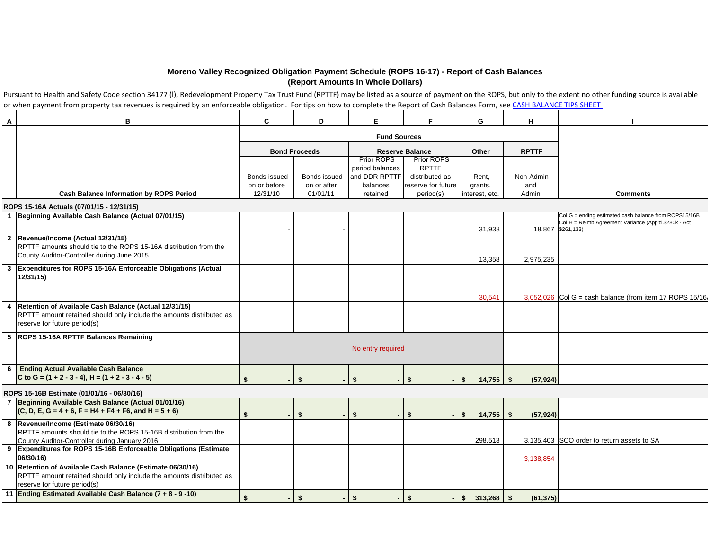## **Moreno Valley Recognized Obligation Payment Schedule (ROPS 16-17) - Report of Cash Balances (Report Amounts in Whole Dollars)**

|                | Pursuant to Health and Safety Code section 34177 (I), Redevelopment Property Tax Trust Fund (RPTTF) may be listed as a source of payment on the ROPS, but only to the extent no other funding source is available<br>or when payment from property tax revenues is required by an enforceable obligation. For tips on how to complete the Report of Cash Balances Form, see CASH BALANCE TIPS SHEET |              |                      |                               |                            |                              |                 |                                                                                                                                    |
|----------------|-----------------------------------------------------------------------------------------------------------------------------------------------------------------------------------------------------------------------------------------------------------------------------------------------------------------------------------------------------------------------------------------------------|--------------|----------------------|-------------------------------|----------------------------|------------------------------|-----------------|------------------------------------------------------------------------------------------------------------------------------------|
| A              | B                                                                                                                                                                                                                                                                                                                                                                                                   | C            | D                    | E                             | F.                         | G                            | н               |                                                                                                                                    |
|                |                                                                                                                                                                                                                                                                                                                                                                                                     |              |                      | <b>Fund Sources</b>           |                            |                              |                 |                                                                                                                                    |
|                |                                                                                                                                                                                                                                                                                                                                                                                                     |              | <b>Bond Proceeds</b> |                               | <b>Reserve Balance</b>     | Other                        | <b>RPTTF</b>    |                                                                                                                                    |
|                |                                                                                                                                                                                                                                                                                                                                                                                                     |              |                      | Prior ROPS<br>period balances | Prior ROPS<br><b>RPTTF</b> |                              |                 |                                                                                                                                    |
|                |                                                                                                                                                                                                                                                                                                                                                                                                     | Bonds issued | Bonds issued         | and DDR RPTTF                 | distributed as             | Rent,                        | Non-Admin       |                                                                                                                                    |
|                |                                                                                                                                                                                                                                                                                                                                                                                                     | on or before | on or after          | balances                      | reserve for future         | grants,                      | and             |                                                                                                                                    |
|                | <b>Cash Balance Information by ROPS Period</b>                                                                                                                                                                                                                                                                                                                                                      | 12/31/10     | 01/01/11             | retained                      | period(s)                  | interest, etc.               | Admin           | <b>Comments</b>                                                                                                                    |
|                | ROPS 15-16A Actuals (07/01/15 - 12/31/15)                                                                                                                                                                                                                                                                                                                                                           |              |                      |                               |                            |                              |                 |                                                                                                                                    |
|                | 1 Beginning Available Cash Balance (Actual 07/01/15)                                                                                                                                                                                                                                                                                                                                                |              |                      |                               |                            | 31,938                       |                 | Col G = ending estimated cash balance from ROPS15/16B<br>Col H = Reimb Agreement Variance (App'd \$280k - Act<br>18,867 \$261,133) |
|                | 2 Revenue/Income (Actual 12/31/15)<br>RPTTF amounts should tie to the ROPS 15-16A distribution from the<br>County Auditor-Controller during June 2015                                                                                                                                                                                                                                               |              |                      |                               |                            | 13,358                       | 2,975,235       |                                                                                                                                    |
| 3              | Expenditures for ROPS 15-16A Enforceable Obligations (Actual<br>12/31/15)                                                                                                                                                                                                                                                                                                                           |              |                      |                               |                            |                              |                 |                                                                                                                                    |
|                |                                                                                                                                                                                                                                                                                                                                                                                                     |              |                      |                               |                            | 30.541                       |                 | $3,052,026$ Col G = cash balance (from item 17 ROPS 15/16)                                                                         |
| $\overline{4}$ | Retention of Available Cash Balance (Actual 12/31/15)<br>RPTTF amount retained should only include the amounts distributed as<br>reserve for future period(s)                                                                                                                                                                                                                                       |              |                      |                               |                            |                              |                 |                                                                                                                                    |
|                | 5  ROPS 15-16A RPTTF Balances Remaining                                                                                                                                                                                                                                                                                                                                                             |              |                      |                               |                            |                              |                 |                                                                                                                                    |
|                |                                                                                                                                                                                                                                                                                                                                                                                                     |              |                      | No entry required             |                            |                              |                 |                                                                                                                                    |
| 6              | <b>Ending Actual Available Cash Balance</b>                                                                                                                                                                                                                                                                                                                                                         |              |                      |                               |                            |                              |                 |                                                                                                                                    |
|                | C to G = $(1 + 2 - 3 - 4)$ , H = $(1 + 2 - 3 - 4 - 5)$                                                                                                                                                                                                                                                                                                                                              | \$           | \$                   | \$                            | \$.                        | $14,755$ \$<br>Ŝ.            | (57, 924)       |                                                                                                                                    |
|                | ROPS 15-16B Estimate (01/01/16 - 06/30/16)                                                                                                                                                                                                                                                                                                                                                          |              |                      |                               |                            |                              |                 |                                                                                                                                    |
|                | 7 Beginning Available Cash Balance (Actual 01/01/16)<br>$(C, D, E, G = 4 + 6, F = H4 + F4 + F6, and H = 5 + 6)$                                                                                                                                                                                                                                                                                     | \$           | \$                   | \$                            | \$                         | 14,755<br>\$                 | (57, 924)<br>\$ |                                                                                                                                    |
|                | 8 Revenue/Income (Estimate 06/30/16)<br>RPTTF amounts should tie to the ROPS 15-16B distribution from the                                                                                                                                                                                                                                                                                           |              |                      |                               |                            |                              |                 |                                                                                                                                    |
|                | County Auditor-Controller during January 2016                                                                                                                                                                                                                                                                                                                                                       |              |                      |                               |                            | 298,513                      |                 | 3,135,403 SCO order to return assets to SA                                                                                         |
|                | 9 Expenditures for ROPS 15-16B Enforceable Obligations (Estimate<br>06/30/16)                                                                                                                                                                                                                                                                                                                       |              |                      |                               |                            |                              | 3,138,854       |                                                                                                                                    |
|                | 10 Retention of Available Cash Balance (Estimate 06/30/16)<br>RPTTF amount retained should only include the amounts distributed as<br>reserve for future period(s)                                                                                                                                                                                                                                  |              |                      |                               |                            |                              |                 |                                                                                                                                    |
|                | 11 Ending Estimated Available Cash Balance (7 + 8 - 9 -10)                                                                                                                                                                                                                                                                                                                                          | \$           | \$                   | \$                            | \$                         | $\frac{1}{2}$ 313,268 \ \ \$ | (61, 375)       |                                                                                                                                    |